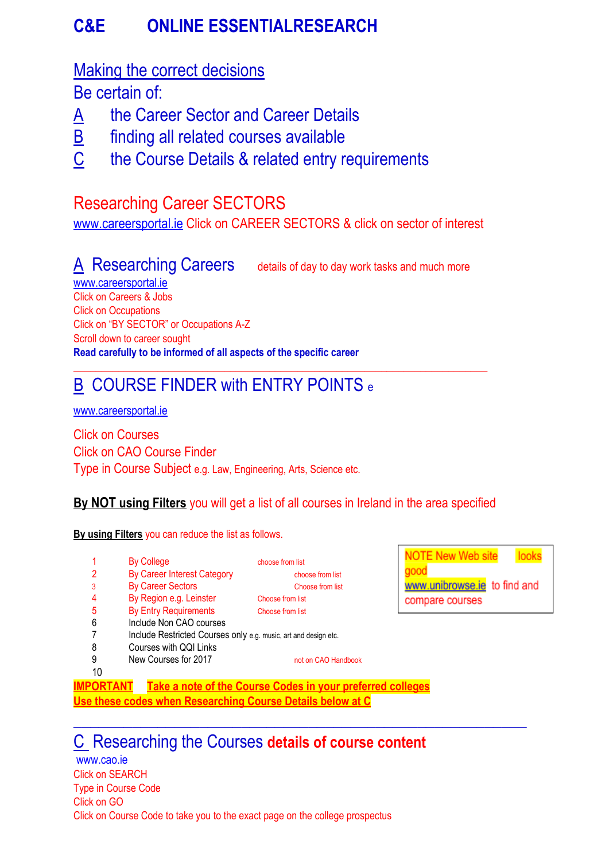# **C&E ONLINE ESSENTIALRESEARCH**

### Making the correct decisions

Be certain of:

- A the Career Sector and Career Details
- B finding all related courses available
- $C$  the Course Details & related entry requirements

# Researching Career SECTORS

[www.careersportal.ie](http://www.careersportal.ie/) Click on CAREER SECTORS & click on sector of interest

A Researching Careers details of day to day work tasks and much more

[www.careersportal.ie](http://www.careersportal.ie/) Click on Careers & Jobs Click on Occupations Click on "BY SECTOR" or Occupations A-Z Scroll down to career sought **Read carefully to be informed of all aspects of the specific career**

# B COURSE FINDER with ENTRY POINTS e

[www.careersportal.ie](http://www.careersportal.ie/)

Click on Courses Click on CAO Course Finder Type in Course Subject e.g. Law, Engineering, Arts, Science etc.

### **By NOT using Filters** you will get a list of all courses in Ireland in the area specified

\_\_\_\_\_\_\_\_\_\_\_\_\_\_\_\_\_\_\_\_\_\_\_\_\_\_\_\_\_\_\_\_\_\_\_\_\_\_\_\_\_\_\_\_\_\_\_\_\_\_\_\_\_\_\_\_\_\_\_\_\_\_\_\_\_\_\_\_\_\_\_\_\_\_

**By using Filters** you can reduce the list as follows.

| 5  | <b>By College</b><br><b>By Career Interest Category</b><br><b>By Career Sectors</b><br>By Region e.g. Leinster<br><b>By Entry Requirements</b> | choose from list<br>choose from list<br>Choose from list<br>Choose from list<br>Choose from list | OTE New Web site<br>www.unibrowse.ie to find and<br>compare courses |
|----|------------------------------------------------------------------------------------------------------------------------------------------------|--------------------------------------------------------------------------------------------------|---------------------------------------------------------------------|
|    |                                                                                                                                                |                                                                                                  |                                                                     |
| 6  | Include Non CAO courses                                                                                                                        |                                                                                                  |                                                                     |
|    | Include Restricted Courses only e.g. music, art and design etc.                                                                                |                                                                                                  |                                                                     |
| 8  | Courses with QQI Links                                                                                                                         |                                                                                                  |                                                                     |
|    | New Courses for 2017                                                                                                                           | not on CAO Handbook                                                                              |                                                                     |
| 10 |                                                                                                                                                |                                                                                                  |                                                                     |

 $\mathcal{L}_\text{max}$  and  $\mathcal{L}_\text{max}$  and  $\mathcal{L}_\text{max}$  and  $\mathcal{L}_\text{max}$  and  $\mathcal{L}_\text{max}$ 

**IMPORTANT Take a note of the Course Codes in your preferred colleges Use these codes when Researching Course Details below at C**

# C Researching the Courses **details of course content**

www.cao.ie Click on SEARCH Type in Course Code Click on GO Click on Course Code to take you to the exact page on the college prospectus